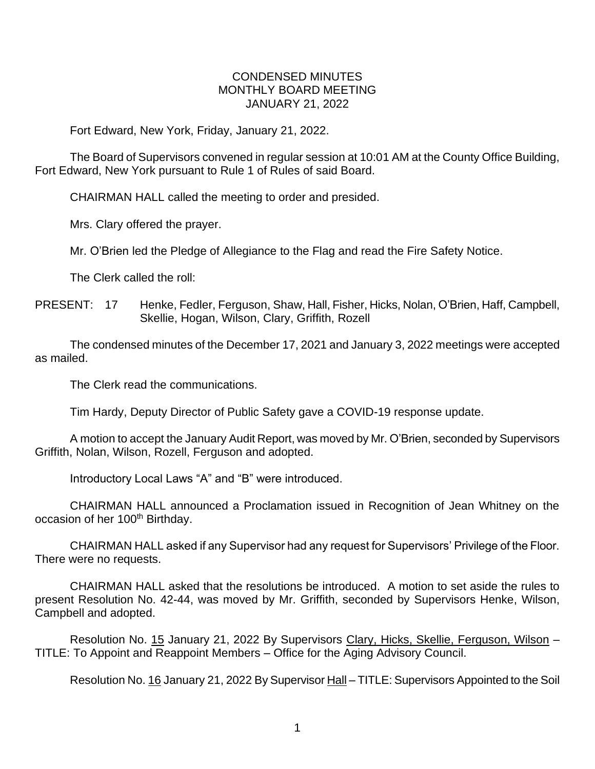## CONDENSED MINUTES MONTHLY BOARD MEETING JANUARY 21, 2022

Fort Edward, New York, Friday, January 21, 2022.

The Board of Supervisors convened in regular session at 10:01 AM at the County Office Building, Fort Edward, New York pursuant to Rule 1 of Rules of said Board.

CHAIRMAN HALL called the meeting to order and presided.

Mrs. Clary offered the prayer.

Mr. O'Brien led the Pledge of Allegiance to the Flag and read the Fire Safety Notice.

The Clerk called the roll:

PRESENT: 17 Henke, Fedler, Ferguson, Shaw, Hall, Fisher, Hicks, Nolan, O'Brien, Haff, Campbell, Skellie, Hogan, Wilson, Clary, Griffith, Rozell

The condensed minutes of the December 17, 2021 and January 3, 2022 meetings were accepted as mailed.

The Clerk read the communications.

Tim Hardy, Deputy Director of Public Safety gave a COVID-19 response update.

A motion to accept the January Audit Report, was moved by Mr. O'Brien, seconded by Supervisors Griffith, Nolan, Wilson, Rozell, Ferguson and adopted.

Introductory Local Laws "A" and "B" were introduced.

CHAIRMAN HALL announced a Proclamation issued in Recognition of Jean Whitney on the occasion of her 100<sup>th</sup> Birthday.

CHAIRMAN HALL asked if any Supervisor had any request for Supervisors' Privilege of the Floor. There were no requests.

CHAIRMAN HALL asked that the resolutions be introduced. A motion to set aside the rules to present Resolution No. 42-44, was moved by Mr. Griffith, seconded by Supervisors Henke, Wilson, Campbell and adopted.

Resolution No. 15 January 21, 2022 By Supervisors Clary, Hicks, Skellie, Ferguson, Wilson -TITLE: To Appoint and Reappoint Members – Office for the Aging Advisory Council.

Resolution No. 16 January 21, 2022 By Supervisor Hall – TITLE: Supervisors Appointed to the Soil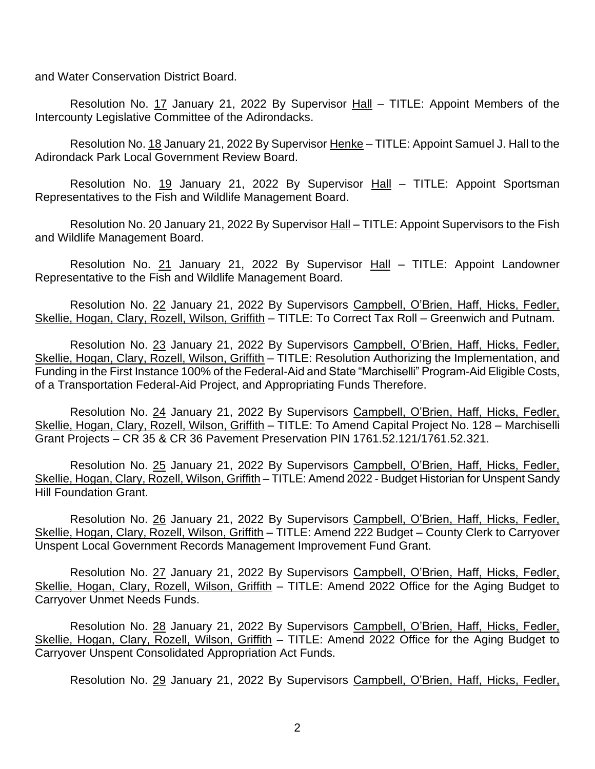and Water Conservation District Board.

Resolution No. 17 January 21, 2022 By Supervisor Hall – TITLE: Appoint Members of the Intercounty Legislative Committee of the Adirondacks.

Resolution No. 18 January 21, 2022 By Supervisor Henke - TITLE: Appoint Samuel J. Hall to the Adirondack Park Local Government Review Board.

Resolution No. 19 January 21, 2022 By Supervisor Hall – TITLE: Appoint Sportsman Representatives to the Fish and Wildlife Management Board.

Resolution No. 20 January 21, 2022 By Supervisor Hall – TITLE: Appoint Supervisors to the Fish and Wildlife Management Board.

Resolution No. 21 January 21, 2022 By Supervisor Hall - TITLE: Appoint Landowner Representative to the Fish and Wildlife Management Board.

Resolution No. 22 January 21, 2022 By Supervisors Campbell, O'Brien, Haff, Hicks, Fedler, Skellie, Hogan, Clary, Rozell, Wilson, Griffith – TITLE: To Correct Tax Roll – Greenwich and Putnam.

Resolution No. 23 January 21, 2022 By Supervisors Campbell, O'Brien, Haff, Hicks, Fedler, Skellie, Hogan, Clary, Rozell, Wilson, Griffith – TITLE: Resolution Authorizing the Implementation, and Funding in the First Instance 100% of the Federal-Aid and State "Marchiselli" Program-Aid Eligible Costs, of a Transportation Federal-Aid Project, and Appropriating Funds Therefore.

Resolution No. 24 January 21, 2022 By Supervisors Campbell, O'Brien, Haff, Hicks, Fedler, Skellie, Hogan, Clary, Rozell, Wilson, Griffith – TITLE: To Amend Capital Project No. 128 – Marchiselli Grant Projects – CR 35 & CR 36 Pavement Preservation PIN 1761.52.121/1761.52.321.

Resolution No. 25 January 21, 2022 By Supervisors Campbell, O'Brien, Haff, Hicks, Fedler, Skellie, Hogan, Clary, Rozell, Wilson, Griffith - TITLE: Amend 2022 - Budget Historian for Unspent Sandy Hill Foundation Grant.

Resolution No. 26 January 21, 2022 By Supervisors Campbell, O'Brien, Haff, Hicks, Fedler, Skellie, Hogan, Clary, Rozell, Wilson, Griffith – TITLE: Amend 222 Budget – County Clerk to Carryover Unspent Local Government Records Management Improvement Fund Grant.

Resolution No. 27 January 21, 2022 By Supervisors Campbell, O'Brien, Haff, Hicks, Fedler, Skellie, Hogan, Clary, Rozell, Wilson, Griffith – TITLE: Amend 2022 Office for the Aging Budget to Carryover Unmet Needs Funds.

Resolution No. 28 January 21, 2022 By Supervisors Campbell, O'Brien, Haff, Hicks, Fedler, Skellie, Hogan, Clary, Rozell, Wilson, Griffith - TITLE: Amend 2022 Office for the Aging Budget to Carryover Unspent Consolidated Appropriation Act Funds.

Resolution No. 29 January 21, 2022 By Supervisors Campbell, O'Brien, Haff, Hicks, Fedler,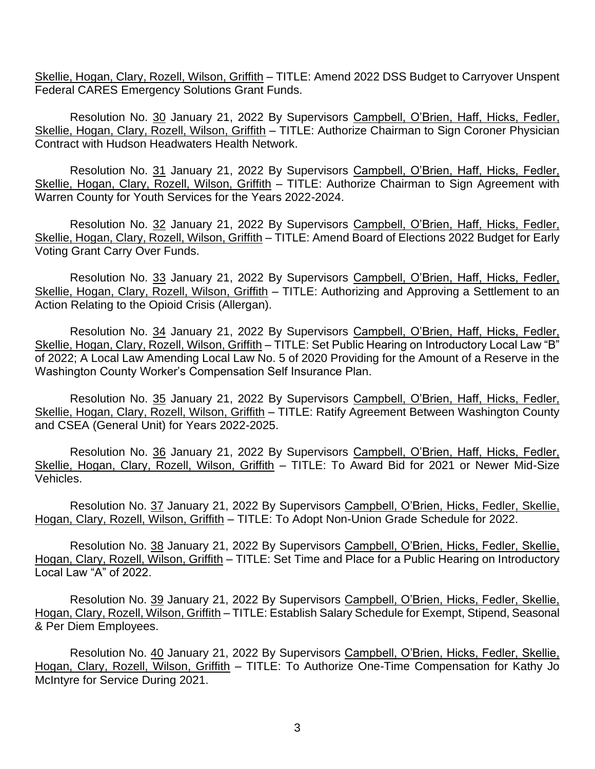Skellie, Hogan, Clary, Rozell, Wilson, Griffith – TITLE: Amend 2022 DSS Budget to Carryover Unspent Federal CARES Emergency Solutions Grant Funds.

Resolution No. 30 January 21, 2022 By Supervisors Campbell, O'Brien, Haff, Hicks, Fedler, Skellie, Hogan, Clary, Rozell, Wilson, Griffith – TITLE: Authorize Chairman to Sign Coroner Physician Contract with Hudson Headwaters Health Network.

Resolution No. 31 January 21, 2022 By Supervisors Campbell, O'Brien, Haff, Hicks, Fedler, Skellie, Hogan, Clary, Rozell, Wilson, Griffith – TITLE: Authorize Chairman to Sign Agreement with Warren County for Youth Services for the Years 2022-2024.

Resolution No. 32 January 21, 2022 By Supervisors Campbell, O'Brien, Haff, Hicks, Fedler, Skellie, Hogan, Clary, Rozell, Wilson, Griffith – TITLE: Amend Board of Elections 2022 Budget for Early Voting Grant Carry Over Funds.

Resolution No. 33 January 21, 2022 By Supervisors Campbell, O'Brien, Haff, Hicks, Fedler, Skellie, Hogan, Clary, Rozell, Wilson, Griffith - TITLE: Authorizing and Approving a Settlement to an Action Relating to the Opioid Crisis (Allergan).

Resolution No. 34 January 21, 2022 By Supervisors Campbell, O'Brien, Haff, Hicks, Fedler, Skellie, Hogan, Clary, Rozell, Wilson, Griffith – TITLE: Set Public Hearing on Introductory Local Law "B" of 2022; A Local Law Amending Local Law No. 5 of 2020 Providing for the Amount of a Reserve in the Washington County Worker's Compensation Self Insurance Plan.

Resolution No. 35 January 21, 2022 By Supervisors Campbell, O'Brien, Haff, Hicks, Fedler, Skellie, Hogan, Clary, Rozell, Wilson, Griffith – TITLE: Ratify Agreement Between Washington County and CSEA (General Unit) for Years 2022-2025.

Resolution No. 36 January 21, 2022 By Supervisors Campbell, O'Brien, Haff, Hicks, Fedler, Skellie, Hogan, Clary, Rozell, Wilson, Griffith – TITLE: To Award Bid for 2021 or Newer Mid-Size Vehicles.

Resolution No. 37 January 21, 2022 By Supervisors Campbell, O'Brien, Hicks, Fedler, Skellie, Hogan, Clary, Rozell, Wilson, Griffith – TITLE: To Adopt Non-Union Grade Schedule for 2022.

Resolution No. 38 January 21, 2022 By Supervisors Campbell, O'Brien, Hicks, Fedler, Skellie, Hogan, Clary, Rozell, Wilson, Griffith – TITLE: Set Time and Place for a Public Hearing on Introductory Local Law "A" of 2022.

Resolution No. 39 January 21, 2022 By Supervisors Campbell, O'Brien, Hicks, Fedler, Skellie, Hogan, Clary, Rozell, Wilson, Griffith – TITLE: Establish Salary Schedule for Exempt, Stipend, Seasonal & Per Diem Employees.

Resolution No. 40 January 21, 2022 By Supervisors Campbell, O'Brien, Hicks, Fedler, Skellie, Hogan, Clary, Rozell, Wilson, Griffith – TITLE: To Authorize One-Time Compensation for Kathy Jo McIntyre for Service During 2021.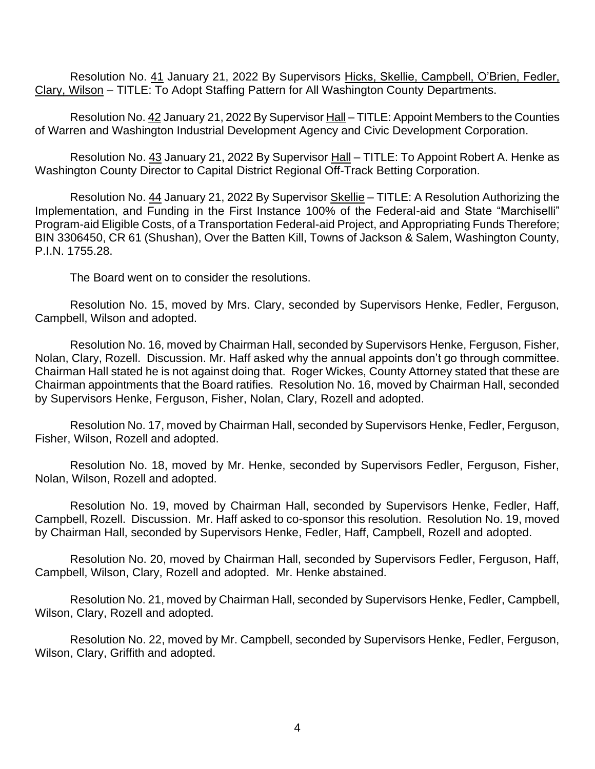Resolution No. 41 January 21, 2022 By Supervisors Hicks, Skellie, Campbell, O'Brien, Fedler, Clary, Wilson – TITLE: To Adopt Staffing Pattern for All Washington County Departments.

Resolution No. 42 January 21, 2022 By Supervisor Hall – TITLE: Appoint Members to the Counties of Warren and Washington Industrial Development Agency and Civic Development Corporation.

Resolution No. 43 January 21, 2022 By Supervisor Hall – TITLE: To Appoint Robert A. Henke as Washington County Director to Capital District Regional Off-Track Betting Corporation.

Resolution No. 44 January 21, 2022 By Supervisor Skellie – TITLE: A Resolution Authorizing the Implementation, and Funding in the First Instance 100% of the Federal-aid and State "Marchiselli" Program-aid Eligible Costs, of a Transportation Federal-aid Project, and Appropriating Funds Therefore; BIN 3306450, CR 61 (Shushan), Over the Batten Kill, Towns of Jackson & Salem, Washington County, P.I.N. 1755.28.

The Board went on to consider the resolutions.

Resolution No. 15, moved by Mrs. Clary, seconded by Supervisors Henke, Fedler, Ferguson, Campbell, Wilson and adopted.

Resolution No. 16, moved by Chairman Hall, seconded by Supervisors Henke, Ferguson, Fisher, Nolan, Clary, Rozell. Discussion. Mr. Haff asked why the annual appoints don't go through committee. Chairman Hall stated he is not against doing that. Roger Wickes, County Attorney stated that these are Chairman appointments that the Board ratifies. Resolution No. 16, moved by Chairman Hall, seconded by Supervisors Henke, Ferguson, Fisher, Nolan, Clary, Rozell and adopted.

Resolution No. 17, moved by Chairman Hall, seconded by Supervisors Henke, Fedler, Ferguson, Fisher, Wilson, Rozell and adopted.

Resolution No. 18, moved by Mr. Henke, seconded by Supervisors Fedler, Ferguson, Fisher, Nolan, Wilson, Rozell and adopted.

Resolution No. 19, moved by Chairman Hall, seconded by Supervisors Henke, Fedler, Haff, Campbell, Rozell. Discussion. Mr. Haff asked to co-sponsor this resolution. Resolution No. 19, moved by Chairman Hall, seconded by Supervisors Henke, Fedler, Haff, Campbell, Rozell and adopted.

Resolution No. 20, moved by Chairman Hall, seconded by Supervisors Fedler, Ferguson, Haff, Campbell, Wilson, Clary, Rozell and adopted. Mr. Henke abstained.

Resolution No. 21, moved by Chairman Hall, seconded by Supervisors Henke, Fedler, Campbell, Wilson, Clary, Rozell and adopted.

Resolution No. 22, moved by Mr. Campbell, seconded by Supervisors Henke, Fedler, Ferguson, Wilson, Clary, Griffith and adopted.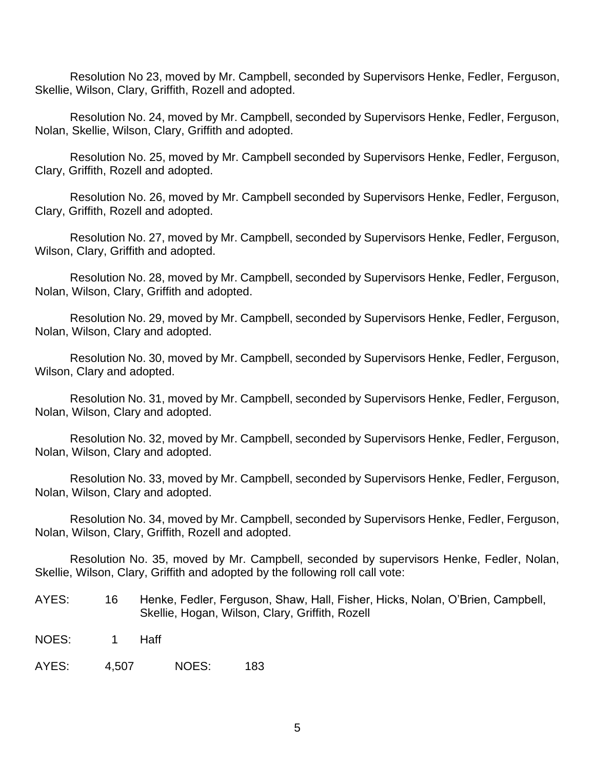Resolution No 23, moved by Mr. Campbell, seconded by Supervisors Henke, Fedler, Ferguson, Skellie, Wilson, Clary, Griffith, Rozell and adopted.

Resolution No. 24, moved by Mr. Campbell, seconded by Supervisors Henke, Fedler, Ferguson, Nolan, Skellie, Wilson, Clary, Griffith and adopted.

Resolution No. 25, moved by Mr. Campbell seconded by Supervisors Henke, Fedler, Ferguson, Clary, Griffith, Rozell and adopted.

Resolution No. 26, moved by Mr. Campbell seconded by Supervisors Henke, Fedler, Ferguson, Clary, Griffith, Rozell and adopted.

Resolution No. 27, moved by Mr. Campbell, seconded by Supervisors Henke, Fedler, Ferguson, Wilson, Clary, Griffith and adopted.

Resolution No. 28, moved by Mr. Campbell, seconded by Supervisors Henke, Fedler, Ferguson, Nolan, Wilson, Clary, Griffith and adopted.

Resolution No. 29, moved by Mr. Campbell, seconded by Supervisors Henke, Fedler, Ferguson, Nolan, Wilson, Clary and adopted.

Resolution No. 30, moved by Mr. Campbell, seconded by Supervisors Henke, Fedler, Ferguson, Wilson, Clary and adopted.

Resolution No. 31, moved by Mr. Campbell, seconded by Supervisors Henke, Fedler, Ferguson, Nolan, Wilson, Clary and adopted.

Resolution No. 32, moved by Mr. Campbell, seconded by Supervisors Henke, Fedler, Ferguson, Nolan, Wilson, Clary and adopted.

Resolution No. 33, moved by Mr. Campbell, seconded by Supervisors Henke, Fedler, Ferguson, Nolan, Wilson, Clary and adopted.

Resolution No. 34, moved by Mr. Campbell, seconded by Supervisors Henke, Fedler, Ferguson, Nolan, Wilson, Clary, Griffith, Rozell and adopted.

Resolution No. 35, moved by Mr. Campbell, seconded by supervisors Henke, Fedler, Nolan, Skellie, Wilson, Clary, Griffith and adopted by the following roll call vote:

- AYES: 16 Henke, Fedler, Ferguson, Shaw, Hall, Fisher, Hicks, Nolan, O'Brien, Campbell, Skellie, Hogan, Wilson, Clary, Griffith, Rozell
- NOES: 1 Haff

AYES: 4,507 NOES: 183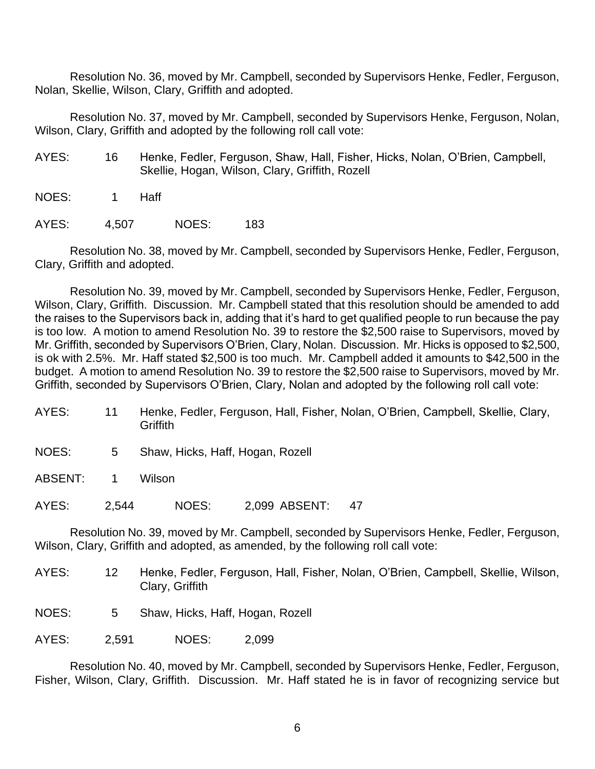Resolution No. 36, moved by Mr. Campbell, seconded by Supervisors Henke, Fedler, Ferguson, Nolan, Skellie, Wilson, Clary, Griffith and adopted.

Resolution No. 37, moved by Mr. Campbell, seconded by Supervisors Henke, Ferguson, Nolan, Wilson, Clary, Griffith and adopted by the following roll call vote:

- AYES: 16 Henke, Fedler, Ferguson, Shaw, Hall, Fisher, Hicks, Nolan, O'Brien, Campbell, Skellie, Hogan, Wilson, Clary, Griffith, Rozell
- NOES: 1 Haff

AYES: 4,507 NOES: 183

Resolution No. 38, moved by Mr. Campbell, seconded by Supervisors Henke, Fedler, Ferguson, Clary, Griffith and adopted.

Resolution No. 39, moved by Mr. Campbell, seconded by Supervisors Henke, Fedler, Ferguson, Wilson, Clary, Griffith. Discussion. Mr. Campbell stated that this resolution should be amended to add the raises to the Supervisors back in, adding that it's hard to get qualified people to run because the pay is too low. A motion to amend Resolution No. 39 to restore the \$2,500 raise to Supervisors, moved by Mr. Griffith, seconded by Supervisors O'Brien, Clary, Nolan. Discussion. Mr. Hicks is opposed to \$2,500, is ok with 2.5%. Mr. Haff stated \$2,500 is too much. Mr. Campbell added it amounts to \$42,500 in the budget. A motion to amend Resolution No. 39 to restore the \$2,500 raise to Supervisors, moved by Mr. Griffith, seconded by Supervisors O'Brien, Clary, Nolan and adopted by the following roll call vote:

- AYES: 11 Henke, Fedler, Ferguson, Hall, Fisher, Nolan, O'Brien, Campbell, Skellie, Clary, **Griffith**
- NOES: 5 Shaw, Hicks, Haff, Hogan, Rozell

ABSENT: 1 Wilson

AYES: 2,544 NOES: 2,099 ABSENT: 47

Resolution No. 39, moved by Mr. Campbell, seconded by Supervisors Henke, Fedler, Ferguson, Wilson, Clary, Griffith and adopted, as amended, by the following roll call vote:

- AYES: 12 Henke, Fedler, Ferguson, Hall, Fisher, Nolan, O'Brien, Campbell, Skellie, Wilson, Clary, Griffith
- NOES: 5 Shaw, Hicks, Haff, Hogan, Rozell

AYES: 2,591 NOES: 2,099

Resolution No. 40, moved by Mr. Campbell, seconded by Supervisors Henke, Fedler, Ferguson, Fisher, Wilson, Clary, Griffith. Discussion. Mr. Haff stated he is in favor of recognizing service but